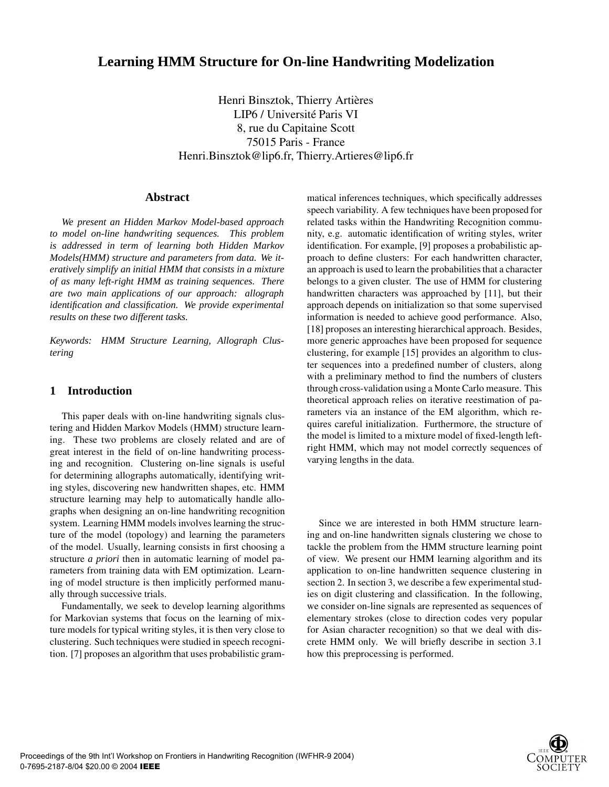# **Learning HMM Structure for On-line Handwriting Modelization**

Henri Binsztok, Thierry Artières LIP6 / Université Paris VI 8, rue du Capitaine Scott 75015 Paris - France Henri.Binsztok@lip6.fr, Thierry.Artieres@lip6.fr

# **Abstract**

*We present an Hidden Markov Model-based approach to model on-line handwriting sequences. This problem is addressed in term of learning both Hidden Markov Models(HMM) structure and parameters from data. We iteratively simplify an initial HMM that consists in a mixture of as many left-right HMM as training sequences. There are two main applications of our approach: allograph identification and classification. We provide experimental results on these two different tasks.*

*Keywords: HMM Structure Learning, Allograph Clustering*

# **1 Introduction**

This paper deals with on-line handwriting signals clustering and Hidden Markov Models (HMM) structure learning. These two problems are closely related and are of great interest in the field of on-line handwriting processing and recognition. Clustering on-line signals is useful for determining allographs automatically, identifying writing styles, discovering new handwritten shapes, etc. HMM structure learning may help to automatically handle allographs when designing an on-line handwriting recognition system. Learning HMM models involves learning the structure of the model (topology) and learning the parameters of the model. Usually, learning consists in first choosing a structure *a priori* then in automatic learning of model parameters from training data with EM optimization. Learning of model structure is then implicitly performed manually through successive trials.

Fundamentally, we seek to develop learning algorithms for Markovian systems that focus on the learning of mixture models for typical writing styles, it is then very close to clustering. Such techniques were studied in speech recognition. [7] proposes an algorithm that uses probabilistic grammatical inferences techniques, which specifically addresses speech variability. A few techniques have been proposed for related tasks within the Handwriting Recognition community, e.g. automatic identification of writing styles, writer identification. For example, [9] proposes a probabilistic approach to define clusters: For each handwritten character, an approach is used to learn the probabilities that a character belongs to a given cluster. The use of HMM for clustering handwritten characters was approached by [11], but their approach depends on initialization so that some supervised information is needed to achieve good performance. Also, [18] proposes an interesting hierarchical approach. Besides, more generic approaches have been proposed for sequence clustering, for example [15] provides an algorithm to cluster sequences into a predefined number of clusters, along with a preliminary method to find the numbers of clusters through cross-validation using a Monte Carlo measure. This theoretical approach relies on iterative reestimation of parameters via an instance of the EM algorithm, which requires careful initialization. Furthermore, the structure of the model is limited to a mixture model of fixed-length leftright HMM, which may not model correctly sequences of varying lengths in the data.

Since we are interested in both HMM structure learning and on-line handwritten signals clustering we chose to tackle the problem from the HMM structure learning point of view. We present our HMM learning algorithm and its application to on-line handwritten sequence clustering in section 2. In section 3, we describe a few experimental studies on digit clustering and classification. In the following, we consider on-line signals are represented as sequences of elementary strokes (close to direction codes very popular for Asian character recognition) so that we deal with discrete HMM only. We will briefly describe in section 3.1 how this preprocessing is performed.

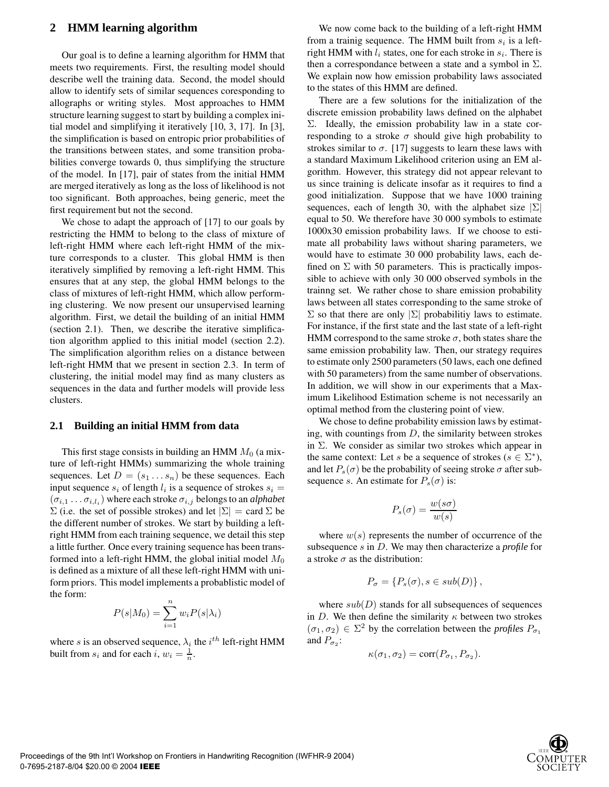# **2 HMM learning algorithm**

Our goal is to define a learning algorithm for HMM that meets two requirements. First, the resulting model should describe well the training data. Second, the model should allow to identify sets of similar sequences coresponding to allographs or writing styles. Most approaches to HMM structure learning suggest to start by building a complex initial model and simplifying it iteratively [10, 3, 17]. In [3], the simplification is based on entropic prior probabilities of the transitions between states, and some transition probabilities converge towards 0, thus simplifying the structure of the model. In [17], pair of states from the initial HMM are merged iteratively as long as the loss of likelihood is not too significant. Both approaches, being generic, meet the first requirement but not the second.

We chose to adapt the approach of [17] to our goals by restricting the HMM to belong to the class of mixture of left-right HMM where each left-right HMM of the mixture corresponds to a cluster. This global HMM is then iteratively simplified by removing a left-right HMM. This ensures that at any step, the global HMM belongs to the class of mixtures of left-right HMM, which allow performing clustering. We now present our unsupervised learning algorithm. First, we detail the building of an initial HMM (section 2.1). Then, we describe the iterative simplification algorithm applied to this initial model (section 2.2). The simplification algorithm relies on a distance between left-right HMM that we present in section 2.3. In term of clustering, the initial model may find as many clusters as sequences in the data and further models will provide less clusters.

### **2.1 Building an initial HMM from data**

This first stage consists in building an HMM  $M_0$  (a mixture of left-right HMMs) summarizing the whole training sequences. Let  $D = (s_1 \dots s_n)$  be these sequences. Each input sequence  $s_i$  of length  $l_i$  is a sequence of strokes  $s_i$  $(\sigma_{i,1} \dots \sigma_{i,l_i})$  where each stroke  $\sigma_{i,j}$  belongs to an *alphabet*  $\Sigma$  (i.e. the set of possible strokes) and let  $|\Sigma| = \text{card } \Sigma$  be the different number of strokes. We start by building a leftright HMM from each training sequence, we detail this step a little further. Once every training sequence has been transformed into a left-right HMM, the global initial model  $M_0$ is defined as a mixture of all these left-right HMM with uniform priors. This model implements a probablistic model of the form:

$$
P(s|M_0) = \sum_{i=1}^{n} w_i P(s|\lambda_i)
$$

where s is an observed sequence,  $\lambda_i$  the  $i^{th}$  left-right HMM built from  $s_i$  and for each  $i, w_i = \frac{1}{n}$ .

We now come back to the building of a left-right HMM from a trainig sequence. The HMM built from  $s_i$  is a leftright HMM with  $l_i$  states, one for each stroke in  $s_i$ . There is then a correspondance between a state and a symbol in  $\Sigma$ . We explain now how emission probability laws associated to the states of this HMM are defined.

There are a few solutions for the initialization of the discrete emission probability laws defined on the alphabet Σ. Ideally, the emission probability law in a state corresponding to a stroke  $\sigma$  should give high probability to strokes similar to  $\sigma$ . [17] suggests to learn these laws with a standard Maximum Likelihood criterion using an EM algorithm. However, this strategy did not appear relevant to us since training is delicate insofar as it requires to find a good initialization. Suppose that we have 1000 training sequences, each of length 30, with the alphabet size  $|\Sigma|$ equal to 50. We therefore have 30 000 symbols to estimate 1000x30 emission probability laws. If we choose to estimate all probability laws without sharing parameters, we would have to estimate 30 000 probability laws, each defined on  $\Sigma$  with 50 parameters. This is practically impossible to achieve with only 30 000 observed symbols in the trainng set. We rather chose to share emission probability laws between all states corresponding to the same stroke of  $\Sigma$  so that there are only  $\Sigma$  probabilitiy laws to estimate. For instance, if the first state and the last state of a left-right HMM correspond to the same stroke  $\sigma$ , both states share the same emission probability law. Then, our strategy requires to estimate only 2500 parameters (50 laws, each one defined with 50 parameters) from the same number of observations. In addition, we will show in our experiments that a Maximum Likelihood Estimation scheme is not necessarily an optimal method from the clustering point of view.

We chose to define probability emission laws by estimating, with countings from  $D$ , the similarity between strokes in  $\Sigma$ . We consider as similar two strokes which appear in the same context: Let s be a sequence of strokes ( $s \in \Sigma^*$ ), and let  $P_s(\sigma)$  be the probability of seeing stroke  $\sigma$  after subsequence s. An estimate for  $P_s(\sigma)$  is:

$$
P_s(\sigma) = \frac{w(s\sigma)}{w(s)}
$$

where  $w(s)$  represents the number of occurrence of the subsequence s in D. We may then characterize a *profile* for a stroke  $\sigma$  as the distribution:

$$
P_{\sigma} = \{P_s(\sigma), s \in sub(D)\}\,,
$$

where  $sub(D)$  stands for all subsequences of sequences in D. We then define the similarity  $\kappa$  between two strokes  $(\sigma_1, \sigma_2) \in \Sigma^2$  by the correlation between the *profiles*  $P_{\sigma_1}$ and  $P_{\sigma_2}$ :

$$
\kappa(\sigma_1, \sigma_2) = \text{corr}(P_{\sigma_1}, P_{\sigma_2}).
$$

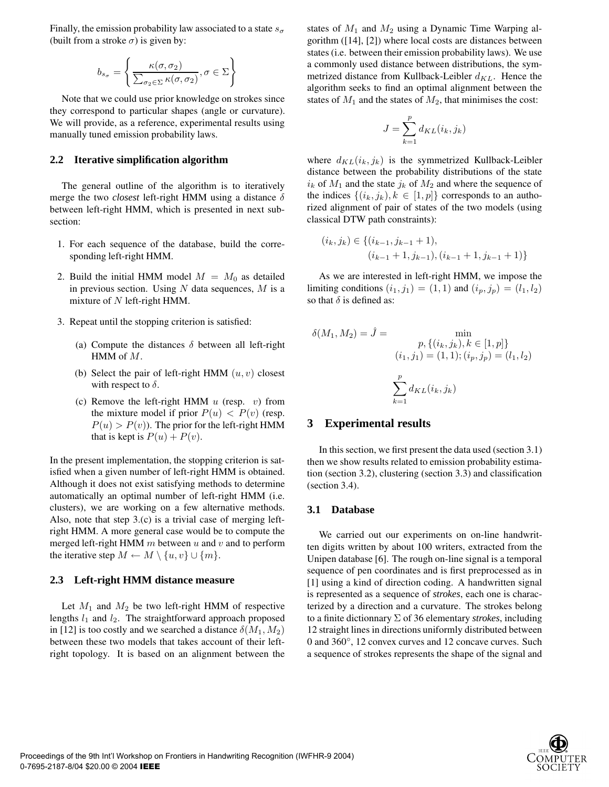Finally, the emission probability law associated to a state  $s_{\sigma}$ (built from a stroke  $\sigma$ ) is given by:

$$
b_{s_{\sigma}} = \left\{ \frac{\kappa(\sigma, \sigma_2)}{\sum_{\sigma_2 \in \Sigma} \kappa(\sigma, \sigma_2)}, \sigma \in \Sigma \right\}
$$

Note that we could use prior knowledge on strokes since they correspond to particular shapes (angle or curvature). We will provide, as a reference, experimental results using manually tuned emission probability laws.

# **2.2 Iterative simplification algorithm**

The general outline of the algorithm is to iteratively merge the two *closest* left-right HMM using a distance  $\delta$ between left-right HMM, which is presented in next subsection:

- 1. For each sequence of the database, build the corresponding left-right HMM.
- 2. Build the initial HMM model  $M = M_0$  as detailed in previous section. Using  $N$  data sequences,  $M$  is a mixture of  $N$  left-right HMM.
- 3. Repeat until the stopping criterion is satisfied:
	- (a) Compute the distances  $\delta$  between all left-right HMM of M.
	- (b) Select the pair of left-right HMM  $(u, v)$  closest with respect to  $\delta$ .
	- (c) Remove the left-right HMM  $u$  (resp.  $v$ ) from the mixture model if prior  $P(u) < P(v)$  (resp.  $P(u) > P(v)$ ). The prior for the left-right HMM that is kept is  $P(u) + P(v)$ .

In the present implementation, the stopping criterion is satisfied when a given number of left-right HMM is obtained. Although it does not exist satisfying methods to determine automatically an optimal number of left-right HMM (i.e. clusters), we are working on a few alternative methods. Also, note that step 3.(c) is a trivial case of merging leftright HMM. A more general case would be to compute the merged left-right HMM  $m$  between  $u$  and  $v$  and to perform the iterative step  $M \leftarrow M \setminus \{u, v\} \cup \{m\}.$ 

### **2.3 Left-right HMM distance measure**

Let  $M_1$  and  $M_2$  be two left-right HMM of respective lengths  $l_1$  and  $l_2$ . The straightforward approach proposed in [12] is too costly and we searched a distance  $\delta(M_1, M_2)$ between these two models that takes account of their leftright topology. It is based on an alignment between the

states of  $M_1$  and  $M_2$  using a Dynamic Time Warping algorithm ([14], [2]) where local costs are distances between states (i.e. between their emission probability laws). We use a commonly used distance between distributions, the symmetrized distance from Kullback-Leibler  $d_{KL}$ . Hence the algorithm seeks to find an optimal alignment between the states of  $M_1$  and the states of  $M_2$ , that minimises the cost:

$$
J = \sum_{k=1}^{p} d_{KL}(i_k, j_k)
$$

where  $d_{KL}(i_k, j_k)$  is the symmetrized Kullback-Leibler distance between the probability distributions of the state  $i_k$  of  $M_1$  and the state  $j_k$  of  $M_2$  and where the sequence of the indices  $\{(i_k, j_k), k \in [1, p]\}$  corresponds to an authorized alignment of pair of states of the two models (using classical DTW path constraints):

$$
(i_k,j_k) \in \{(i_{k-1},j_{k-1}+1),\\(i_{k-1}+1,j_{k-1}),(i_{k-1}+1,j_{k-1}+1)\}
$$

As we are interested in left-right HMM, we impose the limiting conditions  $(i_1, j_1) = (1, 1)$  and  $(i_p, j_p) = (l_1, l_2)$ so that  $\delta$  is defined as:

$$
\delta(M_1, M_2) = \hat{J} = \min_{\begin{aligned} p, \{ (i_k, j_k), k \in [1, p] \} \\ (i_1, j_1) = (1, 1); (i_p, j_p) = (l_1, l_2) \end{aligned}} \sum_{k=1}^p d_{KL}(i_k, j_k)
$$

# **3 Experimental results**

In this section, we first present the data used (section 3.1) then we show results related to emission probability estimation (section 3.2), clustering (section 3.3) and classification (section 3.4).

### **3.1 Database**

We carried out our experiments on on-line handwritten digits written by about 100 writers, extracted from the Unipen database [6]. The rough on-line signal is a temporal sequence of pen coordinates and is first preprocessed as in [1] using a kind of direction coding. A handwritten signal is represented as a sequence of *strokes*, each one is characterized by a direction and a curvature. The strokes belong to a finite dictionnary Σ of 36 elementary *strokes*, including 12 straight lines in directions uniformly distributed between 0 and 360◦, 12 convex curves and 12 concave curves. Such a sequence of strokes represents the shape of the signal and

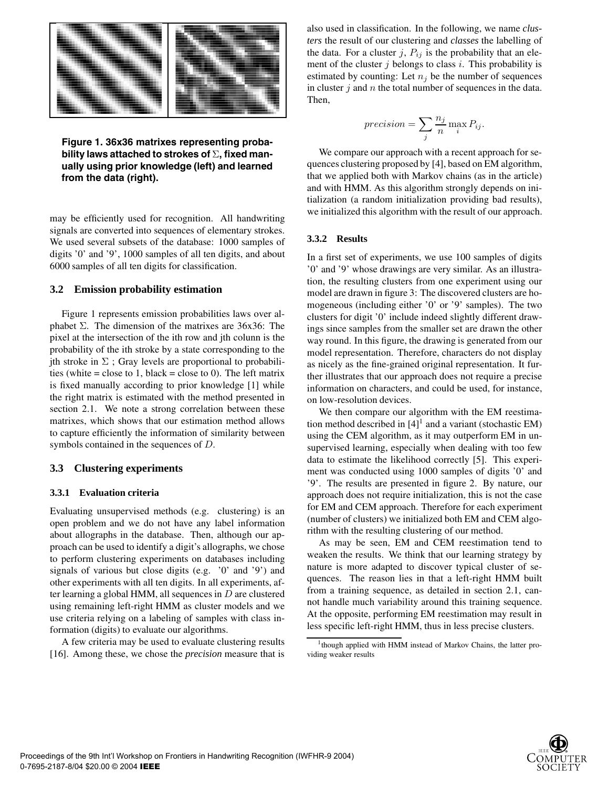

**Figure 1. 36x36 matrixes representing probability laws attached to strokes of** Σ**, fixed manually using prior knowledge (left) and learned from the data (right).**

may be efficiently used for recognition. All handwriting signals are converted into sequences of elementary strokes. We used several subsets of the database: 1000 samples of digits '0' and '9', 1000 samples of all ten digits, and about 6000 samples of all ten digits for classification.

# **3.2 Emission probability estimation**

Figure 1 represents emission probabilities laws over alphabet  $\Sigma$ . The dimension of the matrixes are 36x36: The pixel at the intersection of the ith row and jth colunn is the probability of the ith stroke by a state corresponding to the jth stroke in  $\Sigma$ ; Gray levels are proportional to probabilities (white = close to 1, black = close to 0). The left matrix is fixed manually according to prior knowledge [1] while the right matrix is estimated with the method presented in section 2.1. We note a strong correlation between these matrixes, which shows that our estimation method allows to capture efficiently the information of similarity between symbols contained in the sequences of D.

### **3.3 Clustering experiments**

#### **3.3.1 Evaluation criteria**

Evaluating unsupervised methods (e.g. clustering) is an open problem and we do not have any label information about allographs in the database. Then, although our approach can be used to identify a digit's allographs, we chose to perform clustering experiments on databases including signals of various but close digits (e.g. '0' and '9') and other experiments with all ten digits. In all experiments, after learning a global HMM, all sequences in  $D$  are clustered using remaining left-right HMM as cluster models and we use criteria relying on a labeling of samples with class information (digits) to evaluate our algorithms.

A few criteria may be used to evaluate clustering results [16]. Among these, we chose the *precision* measure that is also used in classification. In the following, we name *clusters* the result of our clustering and *classes* the labelling of the data. For a cluster j,  $P_{ij}$  is the probability that an element of the cluster  $j$  belongs to class  $i$ . This probability is estimated by counting: Let  $n_j$  be the number of sequences in cluster  $j$  and  $n$  the total number of sequences in the data. Then,

$$
precision = \sum_{j} \frac{n_j}{n} \max_{i} P_{ij}.
$$

We compare our approach with a recent approach for sequences clustering proposed by [4], based on EM algorithm, that we applied both with Markov chains (as in the article) and with HMM. As this algorithm strongly depends on initialization (a random initialization providing bad results), we initialized this algorithm with the result of our approach.

#### **3.3.2 Results**

In a first set of experiments, we use 100 samples of digits '0' and '9' whose drawings are very similar. As an illustration, the resulting clusters from one experiment using our model are drawn in figure 3: The discovered clusters are homogeneous (including either '0' or '9' samples). The two clusters for digit '0' include indeed slightly different drawings since samples from the smaller set are drawn the other way round. In this figure, the drawing is generated from our model representation. Therefore, characters do not display as nicely as the fine-grained original representation. It further illustrates that our approach does not require a precise information on characters, and could be used, for instance, on low-resolution devices.

We then compare our algorithm with the EM reestimation method described in  $[4]$ <sup>1</sup> and a variant (stochastic EM) using the CEM algorithm, as it may outperform EM in unsupervised learning, especially when dealing with too few data to estimate the likelihood correctly [5]. This experiment was conducted using 1000 samples of digits '0' and '9'. The results are presented in figure 2. By nature, our approach does not require initialization, this is not the case for EM and CEM approach. Therefore for each experiment (number of clusters) we initialized both EM and CEM algorithm with the resulting clustering of our method.

As may be seen, EM and CEM reestimation tend to weaken the results. We think that our learning strategy by nature is more adapted to discover typical cluster of sequences. The reason lies in that a left-right HMM built from a training sequence, as detailed in section 2.1, cannot handle much variability around this training sequence. At the opposite, performing EM reestimation may result in less specific left-right HMM, thus in less precise clusters.



<sup>&</sup>lt;sup>1</sup>though applied with HMM instead of Markov Chains, the latter providing weaker results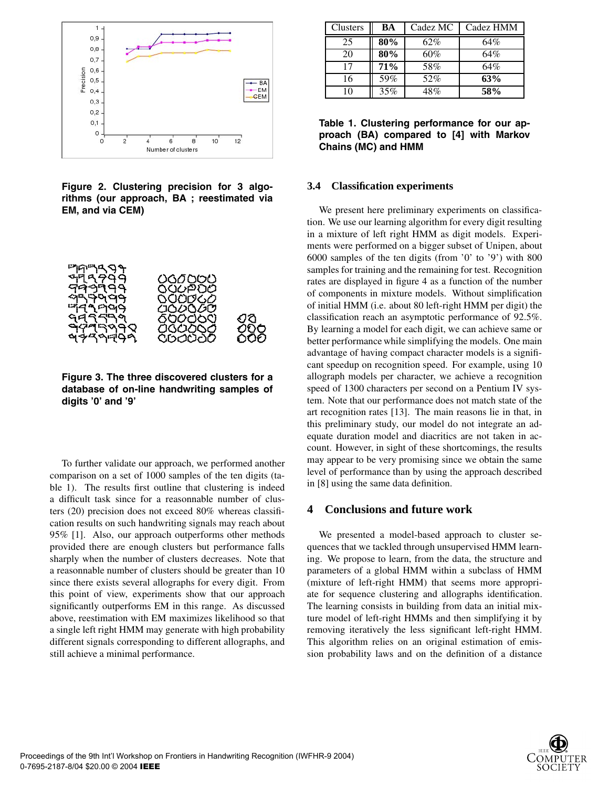

**Figure 2. Clustering precision for 3 algorithms (our approach, BA ; reestimated via EM, and via CEM)**



**Figure 3. The three discovered clusters for a database of on-line handwriting samples of digits '0' and '9'**

To further validate our approach, we performed another comparison on a set of 1000 samples of the ten digits (table 1). The results first outline that clustering is indeed a difficult task since for a reasonnable number of clusters (20) precision does not exceed 80% whereas classification results on such handwriting signals may reach about 95% [1]. Also, our approach outperforms other methods provided there are enough clusters but performance falls sharply when the number of clusters decreases. Note that a reasonnable number of clusters should be greater than 10 since there exists several allographs for every digit. From this point of view, experiments show that our approach significantly outperforms EM in this range. As discussed above, reestimation with EM maximizes likelihood so that a single left right HMM may generate with high probability different signals corresponding to different allographs, and still achieve a minimal performance.

| Clusters | BA  | Cadez MC | Cadez HMM |
|----------|-----|----------|-----------|
| 25       | 80% | 62%      | 64%       |
| 20       | 80% | 60%      | 64%       |
| 17       | 71% | 58%      | 64%       |
| 16       | 59% | 52%      | 63%       |
| 10       | 35% | $48\%$   | 58%       |

**Table 1. Clustering performance for our approach (BA) compared to [4] with Markov Chains (MC) and HMM**

#### **3.4 Classification experiments**

We present here preliminary experiments on classification. We use our learning algorithm for every digit resulting in a mixture of left right HMM as digit models. Experiments were performed on a bigger subset of Unipen, about 6000 samples of the ten digits (from '0' to '9') with 800 samples for training and the remaining for test. Recognition rates are displayed in figure 4 as a function of the number of components in mixture models. Without simplification of initial HMM (i.e. about 80 left-right HMM per digit) the classification reach an asymptotic performance of 92.5%. By learning a model for each digit, we can achieve same or better performance while simplifying the models. One main advantage of having compact character models is a significant speedup on recognition speed. For example, using 10 allograph models per character, we achieve a recognition speed of 1300 characters per second on a Pentium IV system. Note that our performance does not match state of the art recognition rates [13]. The main reasons lie in that, in this preliminary study, our model do not integrate an adequate duration model and diacritics are not taken in account. However, in sight of these shortcomings, the results may appear to be very promising since we obtain the same level of performance than by using the approach described in [8] using the same data definition.

# **4 Conclusions and future work**

We presented a model-based approach to cluster sequences that we tackled through unsupervised HMM learning. We propose to learn, from the data, the structure and parameters of a global HMM within a subclass of HMM (mixture of left-right HMM) that seems more appropriate for sequence clustering and allographs identification. The learning consists in building from data an initial mixture model of left-right HMMs and then simplifying it by removing iteratively the less significant left-right HMM. This algorithm relies on an original estimation of emission probability laws and on the definition of a distance